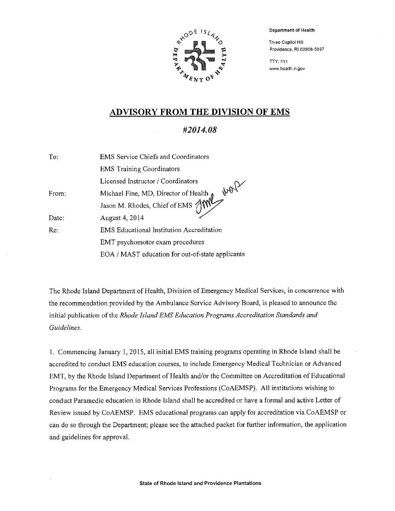

Department of Health

Three Capitol Hill Providence, R1 02908-5097

TTY: 711 www.health.ri.gov

### ADVISORY FROM THE DIVISION OF EMS

#### #2014.08

| To:   | <b>EMS</b> Service Chiefs and Coordinators                            |
|-------|-----------------------------------------------------------------------|
|       | <b>EMS Training Coordinators</b>                                      |
|       | Licensed Instructor / Coordinators                                    |
| From: | work                                                                  |
|       | Michael Fine, MD, Director of Health<br>Jason M. Rhodes, Chief of EMS |
| Date: | August 4, 2014                                                        |
| Re:   | <b>EMS</b> Educational Institution Accreditation                      |
|       | EMT psychomotor exam procedures                                       |
|       | EOA / MAST education for out-of-state applicants                      |

The Rhode Island Department of Health, Division of Emergency Medical Services, in concurrence with the recommendation provided by the Ambulance Service Advisory Board, is pleased to announce the initial publication of the Rhode Island EMS Education Programs Accreditation Standards and Guidelines.

1. Commencing January 1, 2015, all initial EMS training programs operating in Rhode Island shall be accredited to conduct EMS education courses, to include Emergency Medical Technician or Advanced EMT, by the Rhode Island Department of Health and/or the Committee on Accreditation of Educational Programs for the Emergency Medical Services Professions (CoAEMSP). All institutions wishing to conduct Paramedic education in Rhode Island shall be accredited or have a formal and active Letter of Review issued by CoAEMSP. EMS educational programs can apply for accreditation via CoAEMSP or can do so through the Department; please see the attached packet for further information, the application and guidelines for approval.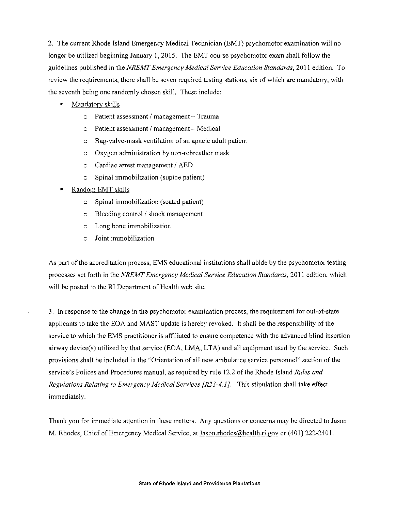2. The current Rhode Island Emergency Medical Technician (EMT) psychomotor examination will no longer be utilized beginning January 1, 2015. The EMT course psychomotor exam shall follow the guidelines published in the NREMT Emergency Medical Service Education Standards, 2011 edition. To review the requirements, there shall be seven required testing stations, six of which are mandatory, with the seventh being one randomly chosen skill. These include:

- Mandatory skills
	- o Patient assessment / management Trauma
	- Patient assessment / management Medical  $\circ$
	- Bag-valve-mask ventilation of an apneic adult patient  $\Omega$
	- Oxygen administration by non-rebreather mask  $\Omega$
	- Cardiac arrest management / AED  $\Omega$
	- Spinal immobilization (supine patient)  $\circ$
- Random EMT skills
	- Spinal immobilization (seated patient)  $\Omega$
	- Bleeding control / shock management  $\circ$
	- Long bone immobilization  $\Omega$
	- Joint immobilization  $\circ$

As part of the accreditation process, EMS educational institutions shall abide by the psychomotor testing processes set forth in the NREMT Emergency Medical Service Education Standards, 2011 edition, which will be posted to the RI Department of Health web site.

3. In response to the change in the psychomotor examination process, the requirement for out-of-state applicants to take the EOA and MAST update is hereby revoked. It shall be the responsibility of the service to which the EMS practitioner is affiliated to ensure competence with the advanced blind insertion airway device(s) utilized by that service (EOA, LMA, LTA) and all equipment used by the service. Such provisions shall be included in the "Orientation of all new ambulance service personnel" section of the service's Polices and Procedures manual, as required by rule 12.2 of the Rhode Island Rules and Regulations Relating to Emergency Medical Services [R23-4.1]. This stipulation shall take effect immediately.

Thank you for immediate attention in these matters. Any questions or concerns may be directed to Jason M. Rhodes, Chief of Emergency Medical Service, at Jason.rhodes@health.ri.gov or (401) 222-2401.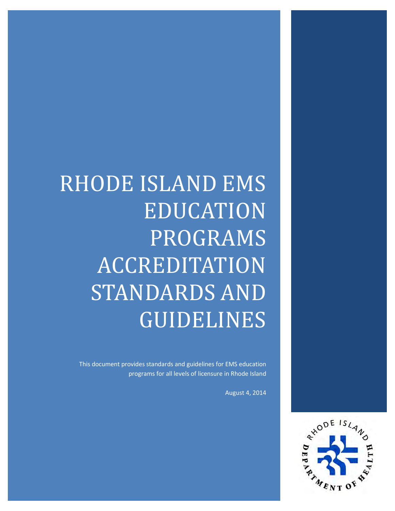# RHODE ISLAND EMS EDUCATION PROGRAMS ACCREDITATION STANDARDS AND GUIDELINES

This document provides standards and guidelines for EMS education programs for all levels of licensure in Rhode Island

August 4, 2014

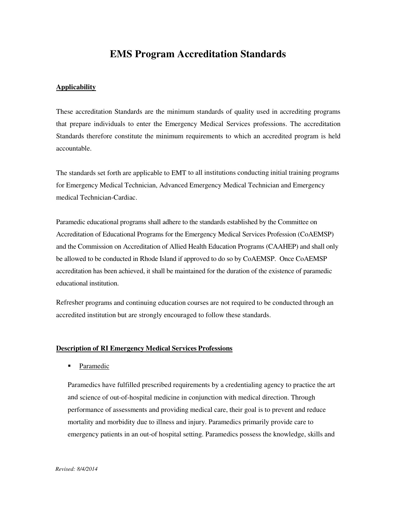### **EMS Program Accreditation Standards**

#### **Applicability**

These accreditation Standards are the minimum standards of quality used in accrediting programs that prepare individuals to enter the Emergency Medical Services professions. The accreditation Standards therefore constitute the minimum requirements to which an accredited program is held accountable.

The standards set forth are applicable to EMT to all institutions conducting initial training programs for Emergency Medical Technician, Advanced Emergency Medical Technician and Emergency medical Technician-Cardiac.

Paramedic educational programs shall adhere to the standards established by the Committee on Accreditation of Educational Programs for the Emergency Medical Services Profession (CoAEMSP) and the Commission on Accreditation of Allied Health Education Programs (CAAHEP) and shall only be allowed to be conducted in Rhode Island if approved to do so by CoAEMSP. Once CoAEMSP accreditation has been achieved, it shall be maintained for the duration of the existence of paramedic educational institution.

Refresher programs and continuing education courses are not required to be conducted through an accredited institution but are strongly encouraged to follow these standards.

#### **Description of RI Emergency Medical Services Professions**

• Paramedic

Paramedics have fulfilled prescribed requirements by a credentialing agency to practice the art and science of out-of-hospital medicine in conjunction with medical direction. Through performance of assessments and providing medical care, their goal is to prevent and reduce mortality and morbidity due to illness and injury. Paramedics primarily provide care to emergency patients in an out-of hospital setting. Paramedics possess the knowledge, skills and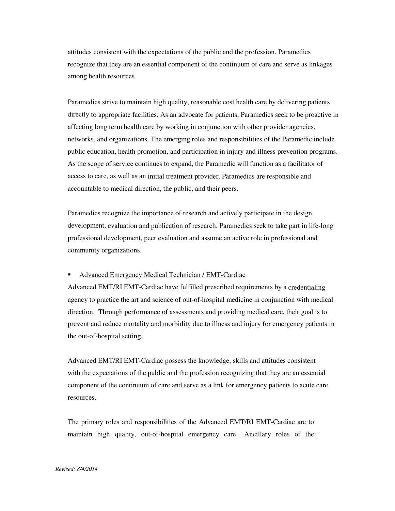attitudes consistent with the expectations of the public and the profession. Paramedics recognize that they are an essential component of the continuum of care and serve as linkages among health resources.

Paramedics strive to maintain high quality, reasonable cost health care by delivering patients directly to appropriate facilities. As an advocate for patients, Paramedics seek to be proactive in affecting long term health care by working in conjunction with other provider agencies, networks, and organizations. The emerging roles and responsibilities of the Paramedic include public education, health promotion, and participation in injury and illness prevention programs. As the scope of service continues to expand, the Paramedic will function as a facilitator of access to care, as well as an initial treatment provider. Paramedics are responsible and accountable to medical direction, the public, and their peers.

Paramedics recognize the importance of research and actively participate in the design, development, evaluation and publication of research. Paramedics seek to take part in life-long professional development, peer evaluation and assume an active role in professional and community organizations.

#### Advanced Emergency Medical Technician / EMT-Cardiac

Advanced EMT/RI EMT-Cardiac have fulfilled prescribed requirements by a credentialing agency to practice the art and science of out-of-hospital medicine in conjunction with medical direction. Through performance of assessments and providing medical care, their goal is to prevent and reduce mortality and morbidity due to illness and injury for emergency patients in the out-of-hospital setting.

Advanced EMT/RI EMT-Cardiac possess the knowledge, skills and attitudes consistent with the expectations of the public and the profession recognizing that they are an essential component of the continuum of care and serve as a link for emergency patients to acute care resources.

The primary roles and responsibilities of the Advanced EMT/RI EMT-Cardiac are to maintain high quality, out-of-hospital emergency care. Ancillary roles of the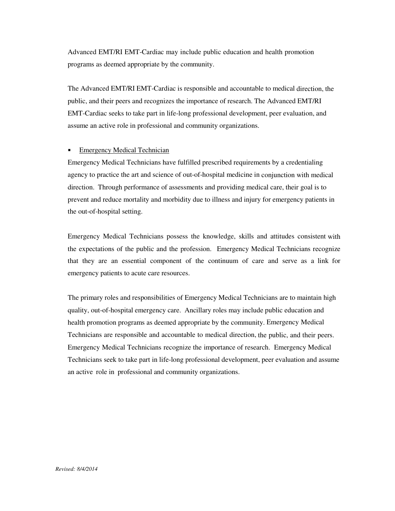Advanced EMT/RI EMT-Cardiac may include public education and health promotion programs as deemed appropriate by the community.

The Advanced EMT/RI EMT-Cardiac is responsible and accountable to medical direction, the public, and their peers and recognizes the importance of research. The Advanced EMT/RI EMT-Cardiac seeks to take part in life-long professional development, peer evaluation, and assume an active role in professional and community organizations.

#### Emergency Medical Technician

Emergency Medical Technicians have fulfilled prescribed requirements by a credentialing agency to practice the art and science of out-of-hospital medicine in conjunction with medical direction. Through performance of assessments and providing medical care, their goal is to prevent and reduce mortality and morbidity due to illness and injury for emergency patients in the out-of-hospital setting.

Emergency Medical Technicians possess the knowledge, skills and attitudes consistent with the expectations of the public and the profession. Emergency Medical Technicians recognize that they are an essential component of the continuum of care and serve as a link for emergency patients to acute care resources.

The primary roles and responsibilities of Emergency Medical Technicians are to maintain high quality, out-of-hospital emergency care. Ancillary roles may include public education and health promotion programs as deemed appropriate by the community. Emergency Medical Technicians are responsible and accountable to medical direction, the public, and their peers. Emergency Medical Technicians recognize the importance of research. Emergency Medical Technicians seek to take part in life-long professional development, peer evaluation and assume an active role in professional and community organizations.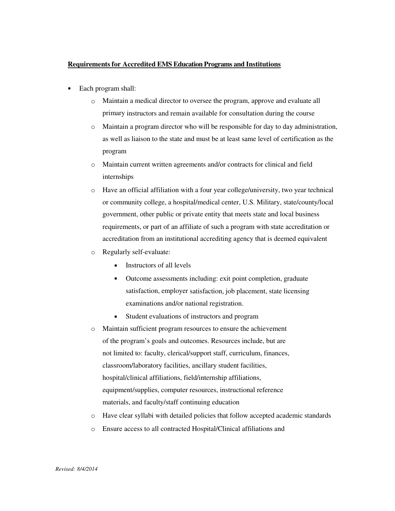#### **Requirements for Accredited EMS Education Programs and Institutions**

- Each program shall:
	- o Maintain a medical director to oversee the program, approve and evaluate all primary instructors and remain available for consultation during the course
	- o Maintain a program director who will be responsible for day to day administration, as well as liaison to the state and must be at least same level of certification as the program
	- o Maintain current written agreements and/or contracts for clinical and field internships
	- o Have an official affiliation with a four year college/university, two year technical or community college, a hospital/medical center, U.S. Military, state/county/local government, other public or private entity that meets state and local business requirements, or part of an affiliate of such a program with state accreditation or accreditation from an institutional accrediting agency that is deemed equivalent
	- o Regularly self-evaluate:
		- **Instructors of all levels**
		- Outcome assessments including: exit point completion, graduate satisfaction, employer satisfaction, job placement, state licensing examinations and/or national registration.
		- Student evaluations of instructors and program
	- o Maintain sufficient program resources to ensure the achievement of the program's goals and outcomes. Resources include, but are not limited to: faculty, clerical/support staff, curriculum, finances, classroom/laboratory facilities, ancillary student facilities, hospital/clinical affiliations, field/internship affiliations, equipment/supplies, computer resources, instructional reference materials, and faculty/staff continuing education
	- o Have clear syllabi with detailed policies that follow accepted academic standards
	- o Ensure access to all contracted Hospital/Clinical affiliations and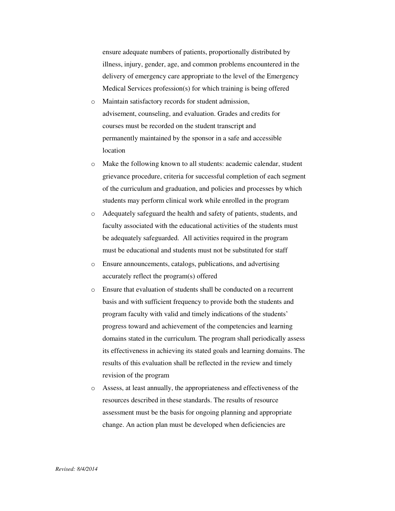ensure adequate numbers of patients, proportionally distributed by illness, injury, gender, age, and common problems encountered in the delivery of emergency care appropriate to the level of the Emergency Medical Services profession(s) for which training is being offered

- o Maintain satisfactory records for student admission, advisement, counseling, and evaluation. Grades and credits for courses must be recorded on the student transcript and permanently maintained by the sponsor in a safe and accessible location
- o Make the following known to all students: academic calendar, student grievance procedure, criteria for successful completion of each segment of the curriculum and graduation, and policies and processes by which students may perform clinical work while enrolled in the program
- o Adequately safeguard the health and safety of patients, students, and faculty associated with the educational activities of the students must be adequately safeguarded. All activities required in the program must be educational and students must not be substituted for staff
- o Ensure announcements, catalogs, publications, and advertising accurately reflect the program(s) offered
- o Ensure that evaluation of students shall be conducted on a recurrent basis and with sufficient frequency to provide both the students and program faculty with valid and timely indications of the students' progress toward and achievement of the competencies and learning domains stated in the curriculum. The program shall periodically assess its effectiveness in achieving its stated goals and learning domains. The results of this evaluation shall be reflected in the review and timely revision of the program
- o Assess, at least annually, the appropriateness and effectiveness of the resources described in these standards. The results of resource assessment must be the basis for ongoing planning and appropriate change. An action plan must be developed when deficiencies are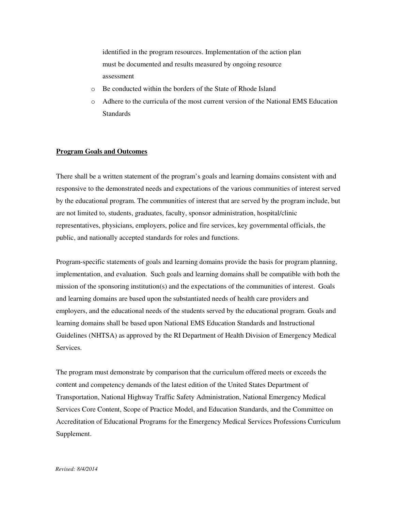identified in the program resources. Implementation of the action plan must be documented and results measured by ongoing resource assessment

- o Be conducted within the borders of the State of Rhode Island
- o Adhere to the curricula of the most current version of the National EMS Education **Standards**

#### **Program Goals and Outcomes**

There shall be a written statement of the program's goals and learning domains consistent with and responsive to the demonstrated needs and expectations of the various communities of interest served by the educational program. The communities of interest that are served by the program include, but are not limited to, students, graduates, faculty, sponsor administration, hospital/clinic representatives, physicians, employers, police and fire services, key governmental officials, the public, and nationally accepted standards for roles and functions.

Program-specific statements of goals and learning domains provide the basis for program planning, implementation, and evaluation. Such goals and learning domains shall be compatible with both the mission of the sponsoring institution(s) and the expectations of the communities of interest. Goals and learning domains are based upon the substantiated needs of health care providers and employers, and the educational needs of the students served by the educational program. Goals and learning domains shall be based upon National EMS Education Standards and Instructional Guidelines (NHTSA) as approved by the RI Department of Health Division of Emergency Medical Services.

The program must demonstrate by comparison that the curriculum offered meets or exceeds the content and competency demands of the latest edition of the United States Department of Transportation, National Highway Traffic Safety Administration, National Emergency Medical Services Core Content, Scope of Practice Model, and Education Standards, and the Committee on Accreditation of Educational Programs for the Emergency Medical Services Professions Curriculum Supplement.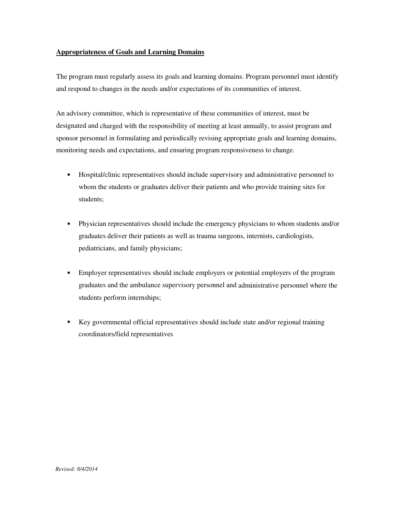#### **Appropriateness of Goals and Learning Domains**

The program must regularly assess its goals and learning domains. Program personnel must identify and respond to changes in the needs and/or expectations of its communities of interest.

An advisory committee, which is representative of these communities of interest, must be designated and charged with the responsibility of meeting at least annually, to assist program and sponsor personnel in formulating and periodically revising appropriate goals and learning domains, monitoring needs and expectations, and ensuring program responsiveness to change.

- Hospital/clinic representatives should include supervisory and administrative personnel to whom the students or graduates deliver their patients and who provide training sites for students;
- Physician representatives should include the emergency physicians to whom students and/or graduates deliver their patients as well as trauma surgeons, internists, cardiologists, pediatricians, and family physicians;
- **Employer representatives should include employers or potential employers of the program** graduates and the ambulance supervisory personnel and administrative personnel where the students perform internships;
- Key governmental official representatives should include state and/or regional training coordinators/field representatives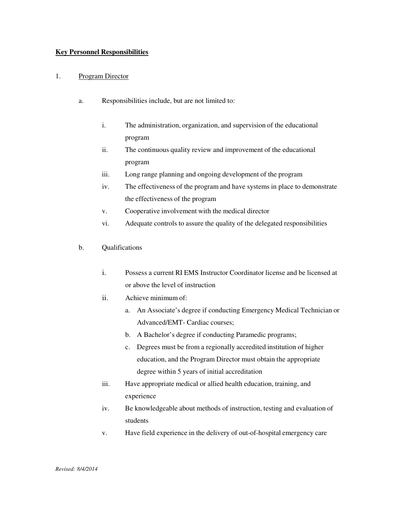#### **Key Personnel Responsibilities**

#### 1. Program Director

- a. Responsibilities include, but are not limited to:
	- i. The administration, organization, and supervision of the educational program
	- ii. The continuous quality review and improvement of the educational program
	- iii. Long range planning and ongoing development of the program
	- iv. The effectiveness of the program and have systems in place to demonstrate the effectiveness of the program
	- v. Cooperative involvement with the medical director
	- vi. Adequate controls to assure the quality of the delegated responsibilities
- b. Qualifications
	- i. Possess a current RI EMS Instructor Coordinator license and be licensed at or above the level of instruction
	- ii. Achieve minimum of:
		- a. An Associate's degree if conducting Emergency Medical Technician or Advanced/EMT- Cardiac courses;
		- b. A Bachelor's degree if conducting Paramedic programs;
		- c. Degrees must be from a regionally accredited institution of higher education, and the Program Director must obtain the appropriate degree within 5 years of initial accreditation
	- iii. Have appropriate medical or allied health education, training, and experience
	- iv. Be knowledgeable about methods of instruction, testing and evaluation of students
	- v. Have field experience in the delivery of out-of-hospital emergency care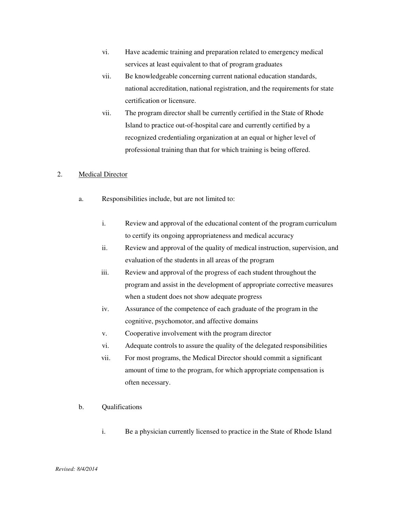- vi. Have academic training and preparation related to emergency medical services at least equivalent to that of program graduates
- vii. Be knowledgeable concerning current national education standards, national accreditation, national registration, and the requirements for state certification or licensure.
- vii. The program director shall be currently certified in the State of Rhode Island to practice out-of-hospital care and currently certified by a recognized credentialing organization at an equal or higher level of professional training than that for which training is being offered.

#### 2. Medical Director

- a. Responsibilities include, but are not limited to:
	- i. Review and approval of the educational content of the program curriculum to certify its ongoing appropriateness and medical accuracy
	- ii. Review and approval of the quality of medical instruction, supervision, and evaluation of the students in all areas of the program
	- iii. Review and approval of the progress of each student throughout the program and assist in the development of appropriate corrective measures when a student does not show adequate progress
	- iv. Assurance of the competence of each graduate of the program in the cognitive, psychomotor, and affective domains
	- v. Cooperative involvement with the program director
	- vi. Adequate controls to assure the quality of the delegated responsibilities
	- vii. For most programs, the Medical Director should commit a significant amount of time to the program, for which appropriate compensation is often necessary.
- b. Qualifications
	- i. Be a physician currently licensed to practice in the State of Rhode Island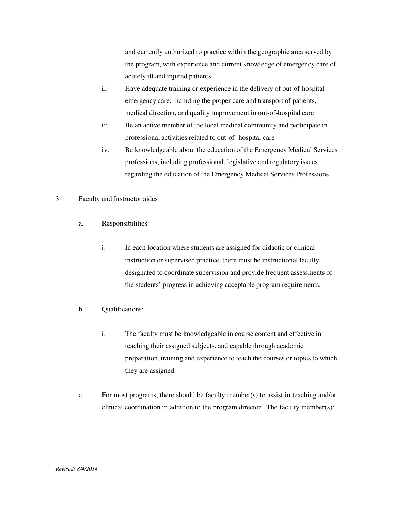and currently authorized to practice within the geographic area served by the program, with experience and current knowledge of emergency care of acutely ill and injured patients

- ii. Have adequate training or experience in the delivery of out-of-hospital emergency care, including the proper care and transport of patients, medical direction, and quality improvement in out-of-hospital care
- iii. Be an active member of the local medical community and participate in professional activities related to out-of- hospital care
- iv. Be knowledgeable about the education of the Emergency Medical Services professions, including professional, legislative and regulatory issues regarding the education of the Emergency Medical Services Professions.

#### 3. Faculty and Instructor aides

- a. Responsibilities:
	- i. In each location where students are assigned for didactic or clinical instruction or supervised practice, there must be instructional faculty designated to coordinate supervision and provide frequent assessments of the students' progress in achieving acceptable program requirements.
- b. Qualifications:
	- i. The faculty must be knowledgeable in course content and effective in teaching their assigned subjects, and capable through academic preparation, training and experience to teach the courses or topics to which they are assigned.
- c. For most programs, there should be faculty member(s) to assist in teaching and/or clinical coordination in addition to the program director. The faculty member(s):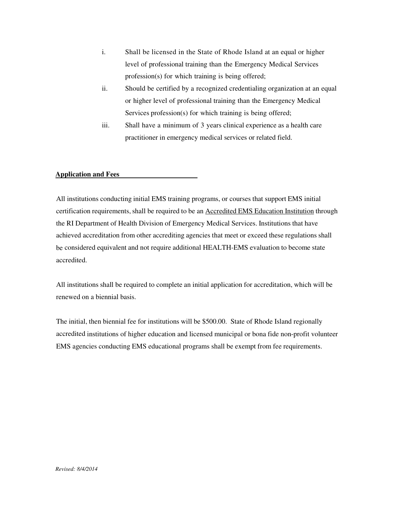- i. Shall be licensed in the State of Rhode Island at an equal or higher level of professional training than the Emergency Medical Services profession(s) for which training is being offered;
- ii. Should be certified by a recognized credentialing organization at an equal or higher level of professional training than the Emergency Medical Services profession(s) for which training is being offered;
- iii. Shall have a minimum of 3 years clinical experience as a health care practitioner in emergency medical services or related field.

#### **Application and Fees**

All institutions conducting initial EMS training programs, or courses that support EMS initial certification requirements, shall be required to be an Accredited EMS Education Institution through the RI Department of Health Division of Emergency Medical Services. Institutions that have achieved accreditation from other accrediting agencies that meet or exceed these regulations shall be considered equivalent and not require additional HEALTH-EMS evaluation to become state accredited.

All institutions shall be required to complete an initial application for accreditation, which will be renewed on a biennial basis.

The initial, then biennial fee for institutions will be \$500.00. State of Rhode Island regionally accredited institutions of higher education and licensed municipal or bona fide non-profit volunteer EMS agencies conducting EMS educational programs shall be exempt from fee requirements.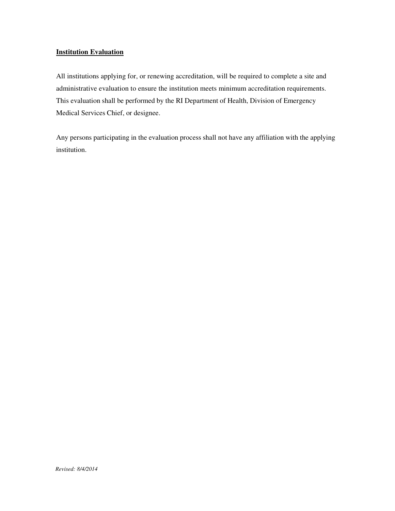#### **Institution Evaluation**

All institutions applying for, or renewing accreditation, will be required to complete a site and administrative evaluation to ensure the institution meets minimum accreditation requirements. This evaluation shall be performed by the RI Department of Health, Division of Emergency Medical Services Chief, or designee.

Any persons participating in the evaluation process shall not have any affiliation with the applying institution.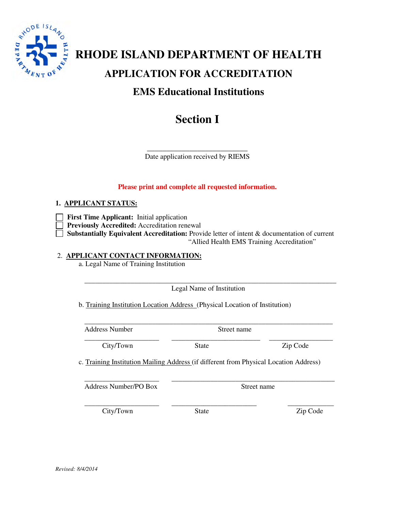

# **RHODE ISLAND DEPARTMENT OF HEALTH APPLICATION FOR ACCREDITATION EMS Educational Institutions**

# **Section I**

\_\_\_\_\_\_\_\_\_\_\_\_\_\_\_\_\_\_\_\_\_\_\_\_\_\_ Date application received by RIEMS

#### **Please print and complete all requested information.**

#### **1. APPLICANT STATUS:**

- **First Time Applicant:** Initial application
	- **Previously Accredited:** Accreditation renewal
- **Substantially Equivalent Accreditation:** Provide letter of intent & documentation of current "Allied Health EMS Training Accreditation"

#### 2. **APPLICANT CONTACT INFORMATION:**

a. Legal Name of Training Institution

\_\_\_\_\_\_\_\_\_\_\_\_\_\_\_\_\_\_\_\_\_\_\_\_\_\_\_\_\_\_\_\_\_\_\_\_\_\_\_\_\_\_\_\_\_\_\_\_\_\_\_\_\_\_\_\_\_\_\_\_\_\_\_\_\_\_\_\_\_\_\_ Legal Name of Institution

b. Training Institution Location Address (Physical Location of Institution)

\_\_\_\_\_\_\_\_\_\_\_\_\_\_\_\_\_\_\_\_\_\_\_\_\_\_\_\_\_\_\_\_\_\_\_\_\_\_\_\_\_\_\_\_\_\_\_\_\_\_\_\_\_\_\_\_\_\_\_\_\_\_\_\_\_\_\_\_\_\_ Address Number Street name

\_\_\_\_\_\_\_\_\_\_\_\_\_\_\_\_\_\_\_\_\_ \_\_\_\_\_\_\_\_\_\_\_\_\_\_\_\_\_\_\_\_\_\_\_\_\_ \_\_\_\_\_\_\_\_\_\_\_\_\_\_\_\_\_\_

City/Town State Zip Code

c. Training Institution Mailing Address (if different from Physical Location Address)

\_\_\_\_\_\_\_\_\_\_\_\_\_\_\_\_\_\_\_\_\_ \_\_\_\_\_\_\_\_\_\_\_\_\_\_\_\_\_\_\_\_\_\_\_\_\_\_\_\_\_\_\_\_\_\_\_\_\_\_\_\_\_\_\_\_\_\_ Address Number/PO Box Street name

\_\_\_\_\_\_\_\_\_\_\_\_\_\_\_\_\_\_\_\_\_ \_\_\_\_\_\_\_\_\_\_\_\_\_\_\_\_\_\_\_\_\_\_\_\_ \_\_\_\_\_\_\_\_\_\_\_\_\_

City/Town State Zip Code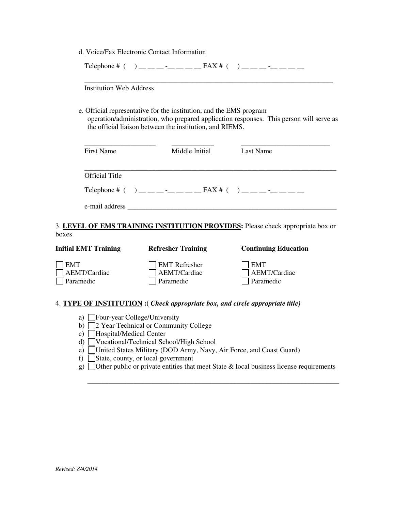|                         |                                | d. Voice/Fax Electronic Contact Information                                                                                                                                                                                                                      |                                                                                         |
|-------------------------|--------------------------------|------------------------------------------------------------------------------------------------------------------------------------------------------------------------------------------------------------------------------------------------------------------|-----------------------------------------------------------------------------------------|
|                         |                                | Telephone # $( )$ $)$ $\_\_$ $\_\_$ $\_\_$ $\_\_$ $\_\_$ $\_\_$ $\_\_$ $\_\_$ $\_\_$ $\_\_$ $\_\_$ $\_\_$ $\_\_$ $\_\_$ $\_\_$ $\_\_$ $\_\_$ $\_\_$ $\_\_$ $\_\_$ $\_\_$ $\_\_$ $\_\_$ $\_\_$ $\_\_$ $\_\_$ $\_\_$ $\_\_$ $\_\_$ $\_\_$ $\_\_$ $\_\_$ $\_\_$ $\$ |                                                                                         |
|                         | <b>Institution Web Address</b> |                                                                                                                                                                                                                                                                  |                                                                                         |
|                         |                                | e. Official representative for the institution, and the EMS program<br>the official liaison between the institution, and RIEMS.                                                                                                                                  | operation/administration, who prepared application responses. This person will serve as |
|                         | <b>First Name</b>              | Middle Initial                                                                                                                                                                                                                                                   | <b>Last Name</b>                                                                        |
|                         | <b>Official Title</b>          |                                                                                                                                                                                                                                                                  |                                                                                         |
|                         |                                |                                                                                                                                                                                                                                                                  |                                                                                         |
|                         |                                |                                                                                                                                                                                                                                                                  |                                                                                         |
| boxes                   |                                |                                                                                                                                                                                                                                                                  | 3. LEVEL OF EMS TRAINING INSTITUTION PROVIDES: Please check appropriate box or          |
|                         | <b>Initial EMT Training</b>    | <b>Refresher Training</b>                                                                                                                                                                                                                                        | <b>Continuing Education</b>                                                             |
| <b>EMT</b><br>Paramedic | <b>AEMT/Cardiac</b>            | <b>EMT</b> Refresher<br><b>AEMT/Cardiac</b><br>Paramedic                                                                                                                                                                                                         | <b>EMT</b><br>AEMT/Cardiac<br>Paramedic                                                 |

#### 4. **TYPE OF INSTITUTION :(** *Check appropriate box, and circle appropriate title)*

- a) Four-year College/University
- b)  $\Box$ 2 Year Technical or Community College
- c) Hospital/Medical Center
- d) Vocational/Technical School/High School
- e) United States Military (DOD Army, Navy, Air Force, and Coast Guard)
- f)  $\Box$  State, county, or local government
- g)  $\Box$  Other public or private entities that meet State & local business license requirements

\_\_\_\_\_\_\_\_\_\_\_\_\_\_\_\_\_\_\_\_\_\_\_\_\_\_\_\_\_\_\_\_\_\_\_\_\_\_\_\_\_\_\_\_\_\_\_\_\_\_\_\_\_\_\_\_\_\_\_\_\_\_\_\_\_\_\_\_\_\_\_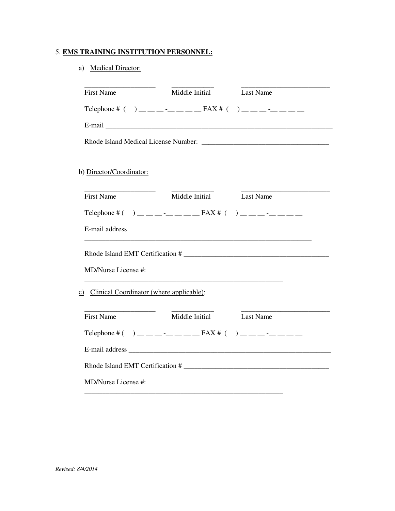#### 5. **EMS TRAINING INSTITUTION PERSONNEL:**

#### a) Medical Director:

| <u> 1990 - John Harry Harry Harry Harry</u><br><b>First Name</b> | Middle Initial Last Name                                                                                                                                                                                                                                                                                                           |                                  |
|------------------------------------------------------------------|------------------------------------------------------------------------------------------------------------------------------------------------------------------------------------------------------------------------------------------------------------------------------------------------------------------------------------|----------------------------------|
|                                                                  | Telephone # $( )$ $)$ $\_\_$ $\_\_$ $\_\_$ $\_\_$ $\_\_$ $\_\_$ $\_\_$ $\_\_$ $\_\_$ $\_\_$ $\_\_$ $\_\_$ $\_\_$ $\_\_$ $\_\_$ $\_\_$ $\_\_$ $\_\_$ $\_\_$ $\_\_$ $\_\_$ $\_\_$ $\_\_$ $\_\_$ $\_\_$ $\_\_$ $\_\_$ $\_\_$ $\_\_$ $\_\_$ $\_\_$ $\_\_$ $\_\_$ $\$                                                                   |                                  |
|                                                                  |                                                                                                                                                                                                                                                                                                                                    |                                  |
|                                                                  |                                                                                                                                                                                                                                                                                                                                    |                                  |
|                                                                  |                                                                                                                                                                                                                                                                                                                                    |                                  |
| b) Director/Coordinator:                                         |                                                                                                                                                                                                                                                                                                                                    |                                  |
| <b>First Name</b>                                                | Middle Initial Last Name                                                                                                                                                                                                                                                                                                           |                                  |
|                                                                  | Telephone # $( )$ $)$ $\qquad$ $\qquad$ $\qquad$ $\qquad$ $\qquad$ $\qquad$ $\qquad$ $\qquad$ $\qquad$ $\qquad$ $\qquad$ $\qquad$ $\qquad$ $\qquad$ $\qquad$ $\qquad$ $\qquad$ $\qquad$ $\qquad$ $\qquad$ $\qquad$ $\qquad$ $\qquad$ $\qquad$ $\qquad$ $\qquad$ $\qquad$ $\qquad$ $\qquad$ $\qquad$ $\qquad$ $\qquad$ $\qquad$ $\$ |                                  |
| E-mail address                                                   |                                                                                                                                                                                                                                                                                                                                    |                                  |
|                                                                  |                                                                                                                                                                                                                                                                                                                                    | Rhode Island EMT Certification # |
| MD/Nurse License #:                                              |                                                                                                                                                                                                                                                                                                                                    |                                  |
| c) Clinical Coordinator (where applicable):                      |                                                                                                                                                                                                                                                                                                                                    |                                  |
| <b>First Name</b>                                                | Middle Initial Last Name                                                                                                                                                                                                                                                                                                           |                                  |
|                                                                  | Telephone # $( )$ $)$ $\qquad$ $\qquad$ $\qquad$ $\qquad$ $\qquad$ $\qquad$ $\qquad$ $\qquad$ $\qquad$ $\qquad$ $\qquad$ $\qquad$ $\qquad$ $\qquad$ $\qquad$ $\qquad$ $\qquad$ $\qquad$ $\qquad$ $\qquad$ $\qquad$ $\qquad$ $\qquad$ $\qquad$ $\qquad$ $\qquad$ $\qquad$ $\qquad$ $\qquad$ $\qquad$ $\qquad$ $\qquad$ $\qquad$ $\$ |                                  |
|                                                                  |                                                                                                                                                                                                                                                                                                                                    |                                  |
|                                                                  |                                                                                                                                                                                                                                                                                                                                    |                                  |
| MD/Nurse License #:                                              |                                                                                                                                                                                                                                                                                                                                    |                                  |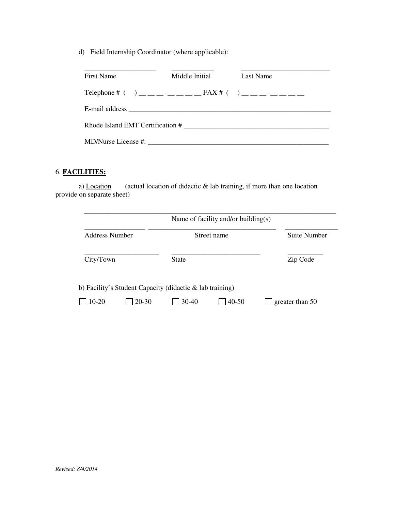d) Field Internship Coordinator (where applicable):

| <b>First Name</b> | Middle Initial | Last Name                                                              |
|-------------------|----------------|------------------------------------------------------------------------|
|                   |                | Telephone # $( )$ __ _ _ _ _ _ _ _ _ _ FAX # $( )$ _ _ _ _ _ _ _ _ _ _ |
|                   |                |                                                                        |
|                   |                | Rhode Island EMT Certification #                                       |
|                   |                |                                                                        |

### 6. **FACILITIES:**

a) Location (actual location of didactic  $\&$  lab training, if more than one location provide on separate sheet)

|                | Name of facility and/or building(s)                         |              |
|----------------|-------------------------------------------------------------|--------------|
| Address Number | Street name                                                 | Suite Number |
| City/Town      | <b>State</b>                                                | Zip Code     |
|                | b) Facility's Student Capacity (didactic $\&$ lab training) |              |
|                |                                                             |              |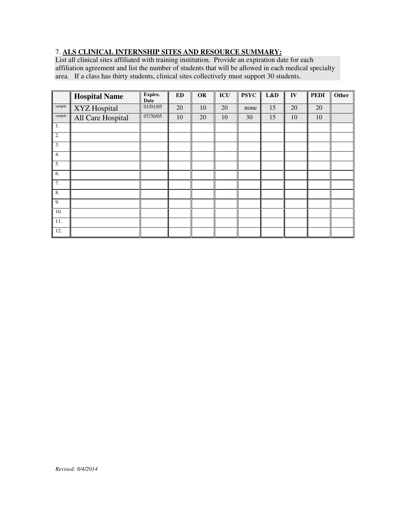#### 7. **ALS CLINICAL INTERNSHIP SITES AND RESOURCE SUMMARY:**

List all clinical sites affiliated with training institution. Provide an expiration date for each affiliation agreement and list the number of students that will be allowed in each medical specialty area. If a class has thirty students, clinical sites collectively must support 30 students.

|        | <b>Hospital Name</b> | Expire.<br>Date | $\mathbf{ED}$ | OR | ICU | <b>PSYC</b> | L&D | ${\bf IV}$ | <b>PEDI</b> | Other |
|--------|----------------------|-----------------|---------------|----|-----|-------------|-----|------------|-------------|-------|
| sample | XYZ Hospital         | 01/01/05        | 20            | 10 | 20  | none        | 15  | 20         | 20          |       |
| sample | All Care Hospital    | 07/30/05        | 10            | 20 | 10  | 30          | 15  | 10         | 10          |       |
| 1.     |                      |                 |               |    |     |             |     |            |             |       |
| 2.     |                      |                 |               |    |     |             |     |            |             |       |
| 3.     |                      |                 |               |    |     |             |     |            |             |       |
| 4.     |                      |                 |               |    |     |             |     |            |             |       |
| 5.     |                      |                 |               |    |     |             |     |            |             |       |
| 6.     |                      |                 |               |    |     |             |     |            |             |       |
| 7.     |                      |                 |               |    |     |             |     |            |             |       |
| 8.     |                      |                 |               |    |     |             |     |            |             |       |
| 9.     |                      |                 |               |    |     |             |     |            |             |       |
| 10.    |                      |                 |               |    |     |             |     |            |             |       |
| 11.    |                      |                 |               |    |     |             |     |            |             |       |
| 12.    |                      |                 |               |    |     |             |     |            |             |       |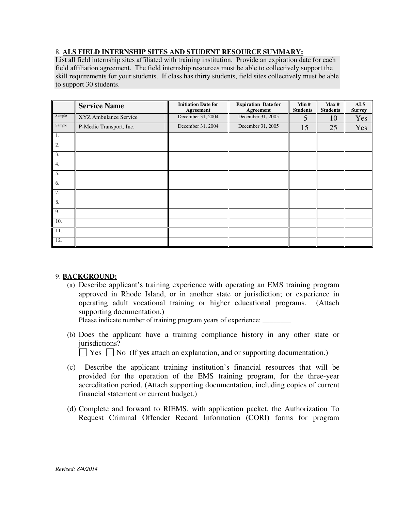#### 8. **ALS FIELD INTERNSHIP SITES AND STUDENT RESOURCE SUMMARY:**

List all field internship sites affiliated with training institution. Provide an expiration date for each field affiliation agreement. The field internship resources must be able to collectively support the skill requirements for your students. If class has thirty students, field sites collectively must be able to support 30 students.

|        | <b>Service Name</b>     | <b>Initiation Date for</b><br>Agreement | <b>Expiration Date for</b><br>Agreement | Min#<br><b>Students</b> | Max#<br><b>Students</b> | <b>ALS</b><br><b>Survey</b> |
|--------|-------------------------|-----------------------------------------|-----------------------------------------|-------------------------|-------------------------|-----------------------------|
| Sample | XYZ Ambulance Service   | December 31, 2004                       | December 31, 2005                       | 5                       | 10                      | Yes                         |
| Sample | P-Medic Transport, Inc. | December 31, 2004                       | December 31, 2005                       | 15                      | 25                      | Yes                         |
| 1.     |                         |                                         |                                         |                         |                         |                             |
| 2.     |                         |                                         |                                         |                         |                         |                             |
| 3.     |                         |                                         |                                         |                         |                         |                             |
| 4.     |                         |                                         |                                         |                         |                         |                             |
| 5.     |                         |                                         |                                         |                         |                         |                             |
| 6.     |                         |                                         |                                         |                         |                         |                             |
| 7.     |                         |                                         |                                         |                         |                         |                             |
| 8.     |                         |                                         |                                         |                         |                         |                             |
| 9.     |                         |                                         |                                         |                         |                         |                             |
| 10.    |                         |                                         |                                         |                         |                         |                             |
| 11.    |                         |                                         |                                         |                         |                         |                             |
| 12.    |                         |                                         |                                         |                         |                         |                             |

#### 9. **BACKGROUND:**

(a) Describe applicant's training experience with operating an EMS training program approved in Rhode Island, or in another state or jurisdiction; or experience in operating adult vocational training or higher educational programs. (Attach supporting documentation.)

Please indicate number of training program years of experience:

(b) Does the applicant have a training compliance history in any other state or jurisdictions?

 $\vert$   $\vert$  Yes  $\vert$   $\vert$  No (If **yes** attach an explanation, and or supporting documentation.)

- (c) Describe the applicant training institution's financial resources that will be provided for the operation of the EMS training program, for the three-year accreditation period. (Attach supporting documentation, including copies of current financial statement or current budget.)
- (d) Complete and forward to RIEMS, with application packet, the Authorization To Request Criminal Offender Record Information (CORI) forms for program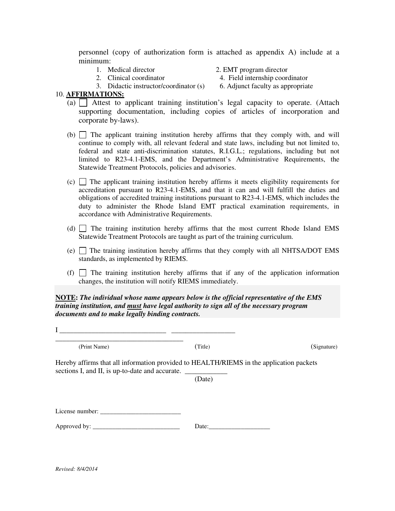personnel (copy of authorization form is attached as appendix A) include at a minimum:

1. Medical director 2. EMT program director

- 
- 3. Didactic instructor/coordinator (s) 6. Adjunct faculty as appropriate

2. Clinical coordinator 4. Field internship coordinator

#### 10. **AFFIRMATIONS:**

- (a)  $\Box$  Attest to applicant training institution's legal capacity to operate. (Attach supporting documentation, including copies of articles of incorporation and corporate by-laws).
- (b)  $\Box$  The applicant training institution hereby affirms that they comply with, and will continue to comply with, all relevant federal and state laws, including but not limited to, federal and state anti-discrimination statutes, R.I.G.L.; regulations, including but not limited to R23-4.1-EMS, and the Department's Administrative Requirements, the Statewide Treatment Protocols, policies and advisories.
- $(c)$  The applicant training institution hereby affirms it meets eligibility requirements for accreditation pursuant to R23-4.1-EMS, and that it can and will fulfill the duties and obligations of accredited training institutions pursuant to R23-4.1-EMS, which includes the duty to administer the Rhode Island EMT practical examination requirements, in accordance with Administrative Requirements.
- (d) The training institution hereby affirms that the most current Rhode Island EMS Statewide Treatment Protocols are taught as part of the training curriculum.
- (e)  $\Box$  The training institution hereby affirms that they comply with all NHTSA/DOT EMS standards, as implemented by RIEMS.
- (f)  $\Box$  The training institution hereby affirms that if any of the application information changes, the institution will notify RIEMS immediately.

**NOTE:** *The individual whose name appears below is the official representative of the EMS training institution, and must have legal authority to sign all of the necessary program documents and to make legally binding contracts.* 

I \_\_\_\_\_\_\_\_\_\_\_\_\_\_\_\_\_\_\_\_\_\_\_\_\_\_\_\_\_\_ \_\_\_\_\_\_\_\_\_\_\_\_\_\_\_\_\_\_

\_\_\_\_\_\_\_\_\_\_\_\_\_\_\_\_\_\_\_\_\_\_\_\_\_\_\_\_\_\_\_\_\_\_\_\_ (Print Name) (Title) (Signature) (Signature)

Hereby affirms that all information provided to HEALTH/RIEMS in the application packets sections I, and II, is up-to-date and accurate.

(Date)

License number: \_\_\_\_\_\_\_\_\_\_\_\_\_\_\_\_\_\_\_\_\_\_\_\_\_

Approved by: \_\_\_\_\_\_\_\_\_\_\_\_\_\_\_\_\_\_\_\_\_\_\_\_\_\_\_ Date:\_\_\_\_\_\_\_\_\_\_\_\_\_\_\_\_\_\_\_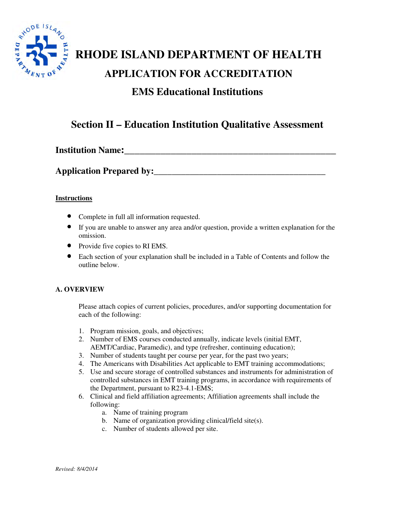

# **RHODE ISLAND DEPARTMENT OF HEALTH APPLICATION FOR ACCREDITATION EMS Educational Institutions**

## **Section II – Education Institution Qualitative Assessment**

**Institution Name:\_\_\_\_\_\_\_\_\_\_\_\_\_\_\_\_\_\_\_\_\_\_\_\_\_\_\_\_\_\_\_\_\_\_\_\_\_\_\_\_\_** 

**Application Prepared by:** 

#### **Instructions**

- Complete in full all information requested.
- If you are unable to answer any area and/or question, provide a written explanation for the omission.
- Provide five copies to RI EMS.
- Each section of your explanation shall be included in a Table of Contents and follow the outline below.

#### **A. OVERVIEW**

Please attach copies of current policies, procedures, and/or supporting documentation for each of the following:

- 1. Program mission, goals, and objectives;
- 2. Number of EMS courses conducted annually, indicate levels (initial EMT, AEMT/Cardiac, Paramedic), and type (refresher, continuing education);
- 3. Number of students taught per course per year, for the past two years;
- 4. The Americans with Disabilities Act applicable to EMT training accommodations;
- 5. Use and secure storage of controlled substances and instruments for administration of controlled substances in EMT training programs, in accordance with requirements of the Department, pursuant to R23-4.1-EMS;
- 6. Clinical and field affiliation agreements; Affiliation agreements shall include the following:
	- a. Name of training program
	- b. Name of organization providing clinical/field site(s).
	- c. Number of students allowed per site.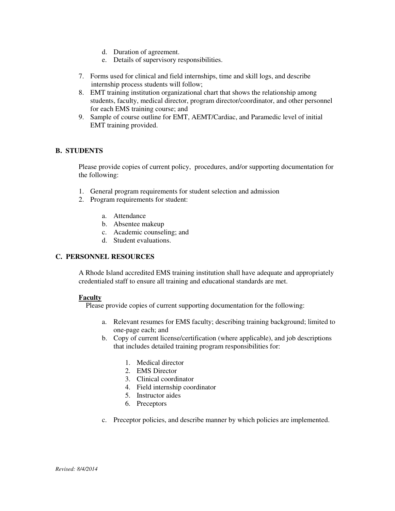- d. Duration of agreement.
- e. Details of supervisory responsibilities.
- 7. Forms used for clinical and field internships, time and skill logs, and describe internship process students will follow;
- 8. EMT training institution organizational chart that shows the relationship among students, faculty, medical director, program director/coordinator, and other personnel for each EMS training course; and
- 9. Sample of course outline for EMT, AEMT/Cardiac, and Paramedic level of initial EMT training provided.

#### **B. STUDENTS**

Please provide copies of current policy, procedures, and/or supporting documentation for the following:

- 1. General program requirements for student selection and admission
- 2. Program requirements for student:
	- a. Attendance
	- b. Absentee makeup
	- c. Academic counseling; and
	- d. Student evaluations.

#### **C. PERSONNEL RESOURCES**

A Rhode Island accredited EMS training institution shall have adequate and appropriately credentialed staff to ensure all training and educational standards are met.

#### **Faculty**

Please provide copies of current supporting documentation for the following:

- a. Relevant resumes for EMS faculty; describing training background; limited to one-page each; and
- b. Copy of current license/certification (where applicable), and job descriptions that includes detailed training program responsibilities for:
	- 1. Medical director
	- 2. EMS Director
	- 3. Clinical coordinator
	- 4. Field internship coordinator
	- 5. Instructor aides
	- 6. Preceptors
- c. Preceptor policies, and describe manner by which policies are implemented.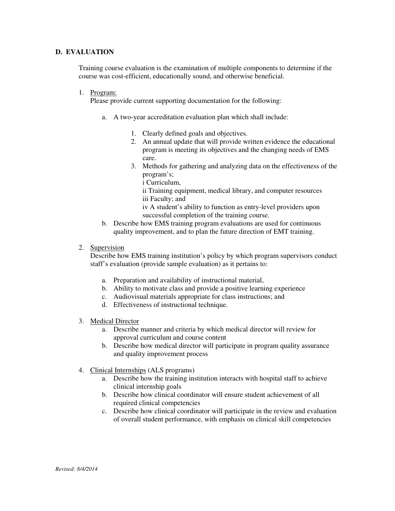#### **D. EVALUATION**

Training course evaluation is the examination of multiple components to determine if the course was cost-efficient, educationally sound, and otherwise beneficial.

1. Program:

Please provide current supporting documentation for the following:

- a. A two-year accreditation evaluation plan which shall include:
	- 1. Clearly defined goals and objectives.
	- 2. An annual update that will provide written evidence the educational program is meeting its objectives and the changing needs of EMS care.
	- 3. Methods for gathering and analyzing data on the effectiveness of the program's;

i Curriculum,

ii Training equipment, medical library, and computer resources iii Faculty; and

iv A student's ability to function as entry-level providers upon successful completion of the training course.

- b. Describe how EMS training program evaluations are used for continuous quality improvement, and to plan the future direction of EMT training.
- 2. Supervision

Describe how EMS training institution's policy by which program supervisors conduct staff's evaluation (provide sample evaluation) as it pertains to:

- a. Preparation and availability of instructional material,
- b. Ability to motivate class and provide a positive learning experience
- c. Audiovisual materials appropriate for class instructions; and
- d. Effectiveness of instructional technique.
- 3. Medical Director
	- a. Describe manner and criteria by which medical director will review for approval curriculum and course content
	- b. Describe how medical director will participate in program quality assurance and quality improvement process
- 4. Clinical Internships (ALS programs)
	- a. Describe how the training institution interacts with hospital staff to achieve clinical internship goals
	- b. Describe how clinical coordinator will ensure student achievement of all required clinical competencies
	- c. Describe how clinical coordinator will participate in the review and evaluation of overall student performance, with emphasis on clinical skill competencies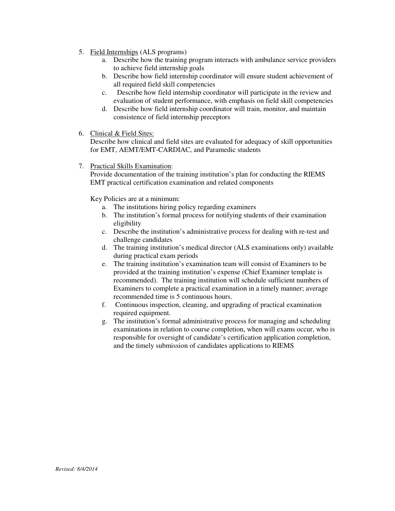- 5. Field Internships (ALS programs)
	- a. Describe how the training program interacts with ambulance service providers to achieve field internship goals
	- b. Describe how field internship coordinator will ensure student achievement of all required field skill competencies
	- c. Describe how field internship coordinator will participate in the review and evaluation of student performance, with emphasis on field skill competencies
	- d. Describe how field internship coordinator will train, monitor, and maintain consistence of field internship preceptors
- 6. Clinical & Field Sites:

Describe how clinical and field sites are evaluated for adequacy of skill opportunities for EMT, AEMT/EMT-CARDIAC, and Paramedic students

7. Practical Skills Examination:

Provide documentation of the training institution's plan for conducting the RIEMS EMT practical certification examination and related components

Key Policies are at a minimum:

- a. The institutions hiring policy regarding examiners
- b. The institution's formal process for notifying students of their examination eligibility
- c. Describe the institution's administrative process for dealing with re-test and challenge candidates
- d. The training institution's medical director (ALS examinations only) available during practical exam periods
- e. The training institution's examination team will consist of Examiners to be provided at the training institution's expense (Chief Examiner template is recommended). The training institution will schedule sufficient numbers of Examiners to complete a practical examination in a timely manner; average recommended time is 5 continuous hours.
- f. Continuous inspection, cleaning, and upgrading of practical examination required equipment.
- g. The institution's formal administrative process for managing and scheduling examinations in relation to course completion, when will exams occur, who is responsible for oversight of candidate's certification application completion, and the timely submission of candidates applications to RIEMS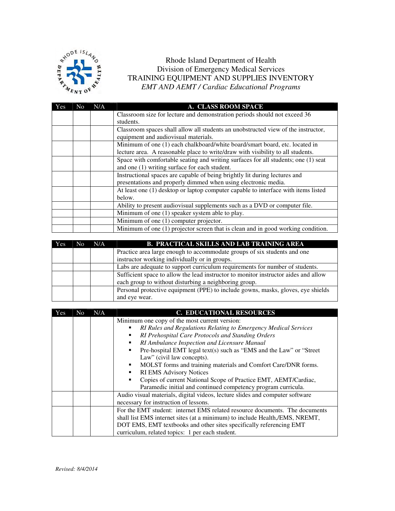

Rhode Island Department of Health Division of Emergency Medical Services TRAINING EQUIPMENT AND SUPPLIES INVENTORY *EMT AND AEMT / Cardiac Educational Programs* 

| Yes | No. | N/A | A. CLASS ROOM SPACE                                                                |
|-----|-----|-----|------------------------------------------------------------------------------------|
|     |     |     | Classroom size for lecture and demonstration periods should not exceed 36          |
|     |     |     | students.                                                                          |
|     |     |     | Classroom spaces shall allow all students an unobstructed view of the instructor,  |
|     |     |     | equipment and audiovisual materials.                                               |
|     |     |     | Minimum of one (1) each chalkboard/white board/smart board, etc. located in        |
|     |     |     | lecture area. A reasonable place to write/draw with visibility to all students.    |
|     |     |     | Space with comfortable seating and writing surfaces for all students; one (1) seat |
|     |     |     | and one (1) writing surface for each student.                                      |
|     |     |     | Instructional spaces are capable of being brightly lit during lectures and         |
|     |     |     | presentations and properly dimmed when using electronic media.                     |
|     |     |     | At least one (1) desktop or laptop computer capable to interface with items listed |
|     |     |     | below.                                                                             |
|     |     |     | Ability to present audiovisual supplements such as a DVD or computer file.         |
|     |     |     | Minimum of one (1) speaker system able to play.                                    |
|     |     |     | Minimum of one (1) computer projector.                                             |
|     |     |     | Minimum of one (1) projector screen that is clean and in good working condition.   |

| Yes | N <sub>0</sub> | N/A | <b>B. PRACTICAL SKILLS AND LAB TRAINING AREA</b>                                    |
|-----|----------------|-----|-------------------------------------------------------------------------------------|
|     |                |     | Practice area large enough to accommodate groups of six students and one            |
|     |                |     | instructor working individually or in groups.                                       |
|     |                |     | Labs are adequate to support curriculum requirements for number of students.        |
|     |                |     | Sufficient space to allow the lead instructor to monitor instructor aides and allow |
|     |                |     | each group to without disturbing a neighboring group.                               |
|     |                |     | Personal protective equipment (PPE) to include gowns, masks, gloves, eye shields    |
|     |                |     | and eye wear.                                                                       |

| Yes | No. | N/A | <b>C. EDUCATIONAL RESOURCES</b>                                                                                                                                                                                                                                                                                                                                                                                                                                                                                                                                                             |
|-----|-----|-----|---------------------------------------------------------------------------------------------------------------------------------------------------------------------------------------------------------------------------------------------------------------------------------------------------------------------------------------------------------------------------------------------------------------------------------------------------------------------------------------------------------------------------------------------------------------------------------------------|
|     |     |     | Minimum one copy of the most current version:<br>RI Rules and Regulations Relating to Emergency Medical Services<br>٠<br>RI Prehospital Care Protocols and Standing Orders<br>٠<br>RI Ambulance Inspection and Licensure Manual<br>٠<br>Pre-hospital EMT legal text(s) such as "EMS and the Law" or "Street<br>Law" (civil law concepts).<br>MOLST forms and training materials and Comfort Care/DNR forms.<br>٠<br><b>RI EMS Advisory Notices</b><br>п<br>Copies of current National Scope of Practice EMT, AEMT/Cardiac,<br>Paramedic initial and continued competency program curricula. |
|     |     |     | Audio visual materials, digital videos, lecture slides and computer software<br>necessary for instruction of lessons.                                                                                                                                                                                                                                                                                                                                                                                                                                                                       |
|     |     |     | For the EMT student: internet EMS related resource documents. The documents<br>shall list EMS internet sites (at a minimum) to include Health, EMS, NREMT,<br>DOT EMS, EMT textbooks and other sites specifically referencing EMT<br>curriculum, related topics: 1 per each student.                                                                                                                                                                                                                                                                                                        |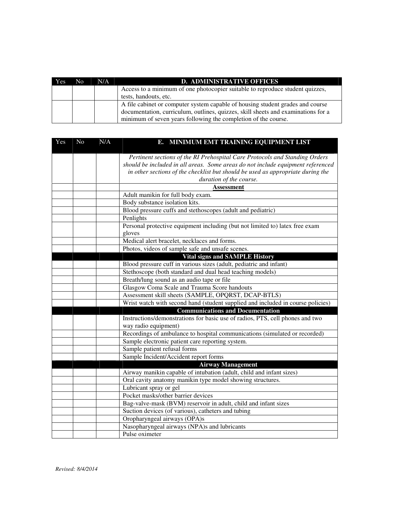| <b>Yes</b> | No. | N/A | <b>D. ADMINISTRATIVE OFFICES</b>                                                  |
|------------|-----|-----|-----------------------------------------------------------------------------------|
|            |     |     | Access to a minimum of one photocopier suitable to reproduce student quizzes,     |
|            |     |     | tests, handouts, etc.                                                             |
|            |     |     | A file cabinet or computer system capable of housing student grades and course    |
|            |     |     | documentation, curriculum, outlines, quizzes, skill sheets and examinations for a |
|            |     |     | minimum of seven years following the completion of the course.                    |

| Yes | No | N/A | E. MINIMUM EMT TRAINING EQUIPMENT LIST                                          |
|-----|----|-----|---------------------------------------------------------------------------------|
|     |    |     | Pertinent sections of the RI Prehospital Care Protocols and Standing Orders     |
|     |    |     | should be included in all areas. Some areas do not include equipment referenced |
|     |    |     | in other sections of the checklist but should be used as appropriate during the |
|     |    |     | duration of the course.                                                         |
|     |    |     | <b>Assessment</b>                                                               |
|     |    |     | Adult manikin for full body exam.                                               |
|     |    |     | Body substance isolation kits.                                                  |
|     |    |     | Blood pressure cuffs and stethoscopes (adult and pediatric)                     |
|     |    |     | Penlights                                                                       |
|     |    |     | Personal protective equipment including (but not limited to) latex free exam    |
|     |    |     | gloves                                                                          |
|     |    |     | Medical alert bracelet, necklaces and forms.                                    |
|     |    |     | Photos, videos of sample safe and unsafe scenes.                                |
|     |    |     | <b>Vital signs and SAMPLE History</b>                                           |
|     |    |     | Blood pressure cuff in various sizes (adult, pediatric and infant)              |
|     |    |     | Stethoscope (both standard and dual head teaching models)                       |
|     |    |     | Breath/lung sound as an audio tape or file                                      |
|     |    |     | Glasgow Coma Scale and Trauma Score handouts                                    |
|     |    |     | Assessment skill sheets (SAMPLE, OPQRST, DCAP-BTLS)                             |
|     |    |     | Wrist watch with second hand (student supplied and included in course policies) |
|     |    |     | <b>Communications and Documentation</b>                                         |
|     |    |     | Instructions/demonstrations for basic use of radios, PTS, cell phones and two   |
|     |    |     | way radio equipment)                                                            |
|     |    |     | Recordings of ambulance to hospital communications (simulated or recorded)      |
|     |    |     | Sample electronic patient care reporting system.                                |
|     |    |     | Sample patient refusal forms                                                    |
|     |    |     | Sample Incident/Accident report forms                                           |
|     |    |     | <b>Airway Management</b>                                                        |
|     |    |     | Airway manikin capable of intubation (adult, child and infant sizes)            |
|     |    |     | Oral cavity anatomy manikin type model showing structures.                      |
|     |    |     | Lubricant spray or gel                                                          |
|     |    |     | Pocket masks/other barrier devices                                              |
|     |    |     | Bag-valve-mask (BVM) reservoir in adult, child and infant sizes                 |
|     |    |     | Suction devices (of various), catheters and tubing                              |
|     |    |     | Oropharyngeal airways (OPA)s                                                    |
|     |    |     | Nasopharyngeal airways (NPA)s and lubricants                                    |
|     |    |     | Pulse oximeter                                                                  |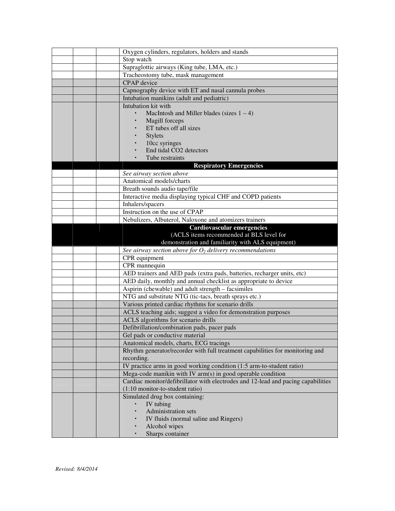|  | Oxygen cylinders, regulators, holders and stands                                  |
|--|-----------------------------------------------------------------------------------|
|  | Stop watch                                                                        |
|  | Supraglottic airways (King tube, LMA, etc.)                                       |
|  | Tracheostomy tube, mask management                                                |
|  | <b>CPAP</b> device                                                                |
|  | Capnography device with ET and nasal cannula probes                               |
|  | Intubation manikins (adult and pediatric)                                         |
|  | Intubation kit with                                                               |
|  | MacIntosh and Miller blades (sizes $1 - 4$ )                                      |
|  | Magill forceps                                                                    |
|  | ET tubes off all sizes                                                            |
|  | <b>Stylets</b>                                                                    |
|  | 10cc syringes                                                                     |
|  | End tidal CO2 detectors                                                           |
|  | Tube restraints                                                                   |
|  | <b>Respiratory Emergencies</b>                                                    |
|  | See airway section above                                                          |
|  | Anatomical models/charts                                                          |
|  | Breath sounds audio tape/file                                                     |
|  | Interactive media displaying typical CHF and COPD patients                        |
|  | Inhalers/spacers                                                                  |
|  | Instruction on the use of CPAP                                                    |
|  | Nebulizers, Albuterol, Naloxone and atomizers trainers                            |
|  | Cardiovascular emergencies                                                        |
|  | (ACLS items recommended at BLS level for                                          |
|  | demonstration and familiarity with ALS equipment)                                 |
|  | See airway section above for $O_2$ delivery recommendations                       |
|  | CPR equipment                                                                     |
|  | CPR mannequin                                                                     |
|  | AED trainers and AED pads (extra pads, batteries, recharger units, etc)           |
|  | AED daily, monthly and annual checklist as appropriate to device                  |
|  | Aspirin (chewable) and adult strength – facsimiles                                |
|  | NTG and substitute NTG (tic-tacs, breath sprays etc.)                             |
|  | Various printed cardiac rhythms for scenario drills                               |
|  | ACLS teaching aids; suggest a video for demonstration purposes                    |
|  | ACLS algorithms for scenario drills                                               |
|  | Defibrillation/combination pads, pacer pads                                       |
|  | Gel pads or conductive material                                                   |
|  | Anatomical models, charts, ECG tracings                                           |
|  | Rhythm generator/recorder with full treatment capabilities for monitoring and     |
|  | recording.                                                                        |
|  | IV practice arms in good working condition (1:5 arm-to-student ratio)             |
|  | Mega-code manikin with IV arm(s) in good operable condition                       |
|  | Cardiac monitor/defibrillator with electrodes and 12-lead and pacing capabilities |
|  | (1:10 monitor-to-student ratio)                                                   |
|  | Simulated drug box containing:                                                    |
|  | IV tubing                                                                         |
|  | Administration sets                                                               |
|  | IV fluids (normal saline and Ringers)                                             |
|  | Alcohol wipes                                                                     |
|  | Sharps container                                                                  |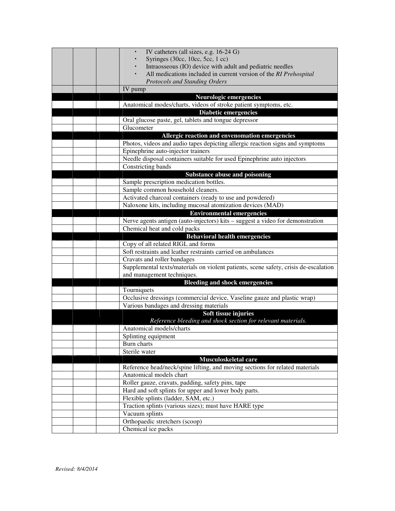|  | IV catheters (all sizes, e.g. 16-24 G)                                                                              |
|--|---------------------------------------------------------------------------------------------------------------------|
|  | Syringes (30cc, 10cc, 5cc, 1 cc)                                                                                    |
|  | Intraosseous (IO) device with adult and pediatric needles                                                           |
|  | All medications included in current version of the RI Prehospital                                                   |
|  | <b>Protocols and Standing Orders</b>                                                                                |
|  | IV pump                                                                                                             |
|  | <b>Neurologic emergencies</b>                                                                                       |
|  | Anatomical modes/charts, videos of stroke patient symptoms, etc.                                                    |
|  | Diabetic emergencies                                                                                                |
|  | Oral glucose paste, gel, tablets and tongue depressor                                                               |
|  | Glucometer                                                                                                          |
|  | Allergic reaction and envenomation emergencies                                                                      |
|  | Photos, videos and audio tapes depicting allergic reaction signs and symptoms                                       |
|  | Epinephrine auto-injector trainers                                                                                  |
|  | Needle disposal containers suitable for used Epinephrine auto injectors                                             |
|  | Constricting bands                                                                                                  |
|  | Substance abuse and poisoning                                                                                       |
|  | Sample prescription medication bottles.                                                                             |
|  | Sample common household cleaners.                                                                                   |
|  | Activated charcoal containers (ready to use and powdered)                                                           |
|  | Naloxone kits, including mucosal atomization devices (MAD)                                                          |
|  | <b>Environmental emergencies</b>                                                                                    |
|  | Nerve agents antigen (auto-injectors) kits - suggest a video for demonstration                                      |
|  | Chemical heat and cold packs                                                                                        |
|  | <b>Behavioral health emergencies</b>                                                                                |
|  | Copy of all related RIGL and forms                                                                                  |
|  | Soft restraints and leather restraints carried on ambulances                                                        |
|  | Cravats and roller bandages                                                                                         |
|  | Supplemental texts/materials on violent patients, scene safety, crisis de-escalation                                |
|  | and management techniques.                                                                                          |
|  | <b>Bleeding and shock emergencies</b>                                                                               |
|  | Tourniquets                                                                                                         |
|  | Occlusive dressings (commercial device, Vaseline gauze and plastic wrap)<br>Various bandages and dressing materials |
|  | Soft tissue injuries                                                                                                |
|  | Reference bleeding and shock section for relevant materials.                                                        |
|  | Anatomical models/charts                                                                                            |
|  | Splinting equipment                                                                                                 |
|  | Burn charts                                                                                                         |
|  | Sterile water                                                                                                       |
|  | Musculoskeletal care                                                                                                |
|  | Reference head/neck/spine lifting, and moving sections for related materials                                        |
|  | Anatomical models chart                                                                                             |
|  | Roller gauze, cravats, padding, safety pins, tape                                                                   |
|  | Hard and soft splints for upper and lower body parts.                                                               |
|  | Flexible splints (ladder, SAM, etc.)                                                                                |
|  | Traction splints (various sizes); must have HARE type                                                               |
|  | Vacuum splints                                                                                                      |
|  | Orthopaedic stretchers (scoop)                                                                                      |
|  | Chemical ice packs                                                                                                  |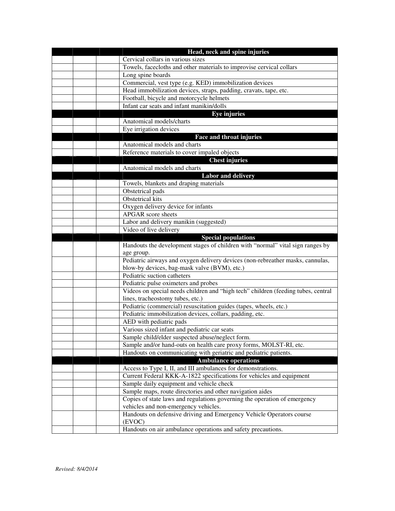|  | Head, neck and spine injuries                                                     |
|--|-----------------------------------------------------------------------------------|
|  | Cervical collars in various sizes                                                 |
|  | Towels, facecloths and other materials to improvise cervical collars              |
|  | Long spine boards                                                                 |
|  | Commercial, vest type (e.g. KED) immobilization devices                           |
|  | Head immobilization devices, straps, padding, cravats, tape, etc.                 |
|  | Football, bicycle and motorcycle helmets                                          |
|  | Infant car seats and infant manikin/dolls                                         |
|  | <b>Eye injuries</b>                                                               |
|  | Anatomical models/charts                                                          |
|  | Eye irrigation devices                                                            |
|  | Face and throat injuries                                                          |
|  | Anatomical models and charts                                                      |
|  | Reference materials to cover impaled objects                                      |
|  | <b>Chest injuries</b>                                                             |
|  | Anatomical models and charts                                                      |
|  | <b>Labor and delivery</b>                                                         |
|  | Towels, blankets and draping materials                                            |
|  | Obstetrical pads                                                                  |
|  | Obstetrical kits                                                                  |
|  | Oxygen delivery device for infants                                                |
|  | <b>APGAR</b> score sheets                                                         |
|  | Labor and delivery manikin (suggested)                                            |
|  | Video of live delivery                                                            |
|  | <b>Special populations</b>                                                        |
|  |                                                                                   |
|  | Handouts the development stages of children with "normal" vital sign ranges by    |
|  | age group.                                                                        |
|  | Pediatric airways and oxygen delivery devices (non-rebreather masks, cannulas,    |
|  | blow-by devices, bag-mask valve (BVM), etc.)                                      |
|  | Pediatric suction catheters                                                       |
|  | Pediatric pulse oximeters and probes                                              |
|  | Videos on special needs children and "high tech" children (feeding tubes, central |
|  | lines, tracheostomy tubes, etc.)                                                  |
|  | Pediatric (commercial) resuscitation guides (tapes, wheels, etc.)                 |
|  | Pediatric immobilization devices, collars, padding, etc.                          |
|  | AED with pediatric pads                                                           |
|  | Various sized infant and pediatric car seats                                      |
|  | Sample child/elder suspected abuse/neglect form.                                  |
|  | Sample and/or hand-outs on health care proxy forms, MOLST-RI, etc.                |
|  | Handouts on communicating with geriatric and pediatric patients.                  |
|  | <b>Ambulance operations</b>                                                       |
|  | Access to Type I, II, and III ambulances for demonstrations.                      |
|  | Current Federal KKK-A-1822 specifications for vehicles and equipment              |
|  | Sample daily equipment and vehicle check                                          |
|  | Sample maps, route directories and other navigation aides                         |
|  | Copies of state laws and regulations governing the operation of emergency         |
|  | vehicles and non-emergency vehicles.                                              |
|  | Handouts on defensive driving and Emergency Vehicle Operators course              |
|  | (EVOC)<br>Handouts on air ambulance operations and safety precautions.            |